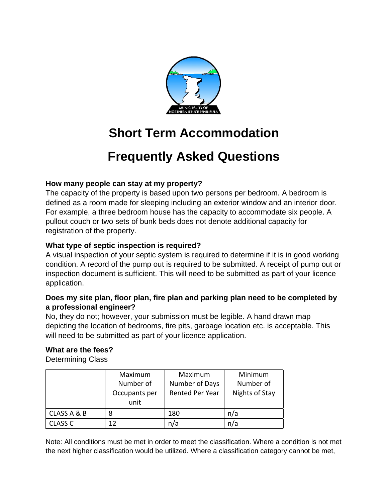

# **Short Term Accommodation**

## **Frequently Asked Questions**

## **How many people can stay at my property?**

The capacity of the property is based upon two persons per bedroom. A bedroom is defined as a room made for sleeping including an exterior window and an interior door. For example, a three bedroom house has the capacity to accommodate six people. A pullout couch or two sets of bunk beds does not denote additional capacity for registration of the property.

## **What type of septic inspection is required?**

A visual inspection of your septic system is required to determine if it is in good working condition. A record of the pump out is required to be submitted. A receipt of pump out or inspection document is sufficient. This will need to be submitted as part of your licence application.

#### **Does my site plan, floor plan, fire plan and parking plan need to be completed by a professional engineer?**

No, they do not; however, your submission must be legible. A hand drawn map depicting the location of bedrooms, fire pits, garbage location etc. is acceptable. This will need to be submitted as part of your licence application.

## **What are the fees?**

Determining Class

|                | Maximum       | Maximum         | Minimum        |
|----------------|---------------|-----------------|----------------|
|                | Number of     | Number of Days  | Number of      |
|                | Occupants per | Rented Per Year | Nights of Stay |
|                | unit          |                 |                |
| CLASS A & B    | 8             | 180             | n/a            |
| <b>CLASS C</b> | 12            | n/a             | n/a            |

Note: All conditions must be met in order to meet the classification. Where a condition is not met the next higher classification would be utilized. Where a classification category cannot be met,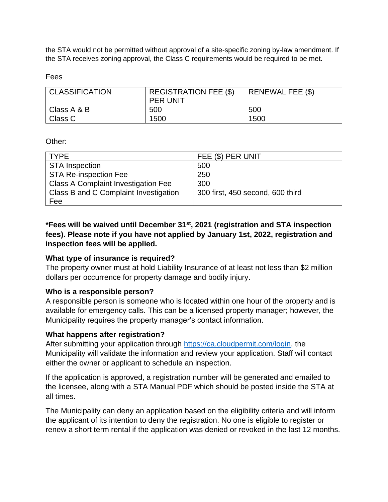the STA would not be permitted without approval of a site-specific zoning by-law amendment. If the STA receives zoning approval, the Class C requirements would be required to be met.

Fees

| <b>CLASSIFICATION</b> | <b>REGISTRATION FEE (\$)</b><br><b>PER UNIT</b> | RENEWAL FEE (\$) |
|-----------------------|-------------------------------------------------|------------------|
| Class A & B           | 500                                             | 500              |
| Class C               | 1500                                            | 1500             |

Other:

| <b>TYPE</b>                                | FEE (\$) PER UNIT                |  |
|--------------------------------------------|----------------------------------|--|
| <b>STA Inspection</b>                      | 500                              |  |
| <b>STA Re-inspection Fee</b>               | 250                              |  |
| <b>Class A Complaint Investigation Fee</b> | 300                              |  |
| Class B and C Complaint Investigation      | 300 first, 450 second, 600 third |  |
| Fee                                        |                                  |  |

**\*Fees will be waived until December 31st, 2021 (registration and STA inspection fees). Please note if you have not applied by January 1st, 2022, registration and inspection fees will be applied.** 

#### **What type of insurance is required?**

The property owner must at hold Liability Insurance of at least not less than \$2 million dollars per occurrence for property damage and bodily injury.

#### **Who is a responsible person?**

A responsible person is someone who is located within one hour of the property and is available for emergency calls. This can be a licensed property manager; however, the Municipality requires the property manager's contact information.

## **What happens after registration?**

After submitting your application through [https://ca.cloudpermit.com/login,](https://ca.cloudpermit.com/login) the Municipality will validate the information and review your application. Staff will contact either the owner or applicant to schedule an inspection.

If the application is approved, a registration number will be generated and emailed to the licensee, along with a STA Manual PDF which should be posted inside the STA at all times.

The Municipality can deny an application based on the eligibility criteria and will inform the applicant of its intention to deny the registration. No one is eligible to register or renew a short term rental if the application was denied or revoked in the last 12 months.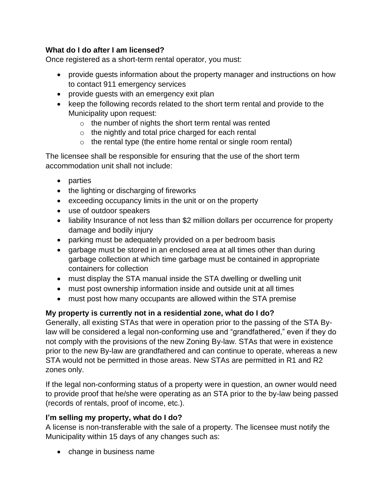## **What do I do after I am licensed?**

Once registered as a short-term rental operator, you must:

- provide guests information about the property manager and instructions on how to contact 911 emergency services
- provide guests with an emergency exit plan
- keep the following records related to the short term rental and provide to the Municipality upon request:
	- $\circ$  the number of nights the short term rental was rented
	- o the nightly and total price charged for each rental
	- $\circ$  the rental type (the entire home rental or single room rental)

The licensee shall be responsible for ensuring that the use of the short term accommodation unit shall not include:

- parties
- the lighting or discharging of fireworks
- exceeding occupancy limits in the unit or on the property
- use of outdoor speakers
- liability Insurance of not less than \$2 million dollars per occurrence for property damage and bodily injury
- parking must be adequately provided on a per bedroom basis
- garbage must be stored in an enclosed area at all times other than during garbage collection at which time garbage must be contained in appropriate containers for collection
- must display the STA manual inside the STA dwelling or dwelling unit
- must post ownership information inside and outside unit at all times
- must post how many occupants are allowed within the STA premise

## **My property is currently not in a residential zone, what do I do?**

Generally, all existing STAs that were in operation prior to the passing of the STA Bylaw will be considered a legal non-conforming use and "grandfathered," even if they do not comply with the provisions of the new Zoning By-law. STAs that were in existence prior to the new By-law are grandfathered and can continue to operate, whereas a new STA would not be permitted in those areas. New STAs are permitted in R1 and R2 zones only.

If the legal non-conforming status of a property were in question, an owner would need to provide proof that he/she were operating as an STA prior to the by-law being passed (records of rentals, proof of income, etc.).

## **I'm selling my property, what do I do?**

A license is non-transferable with the sale of a property. The licensee must notify the Municipality within 15 days of any changes such as:

• change in business name